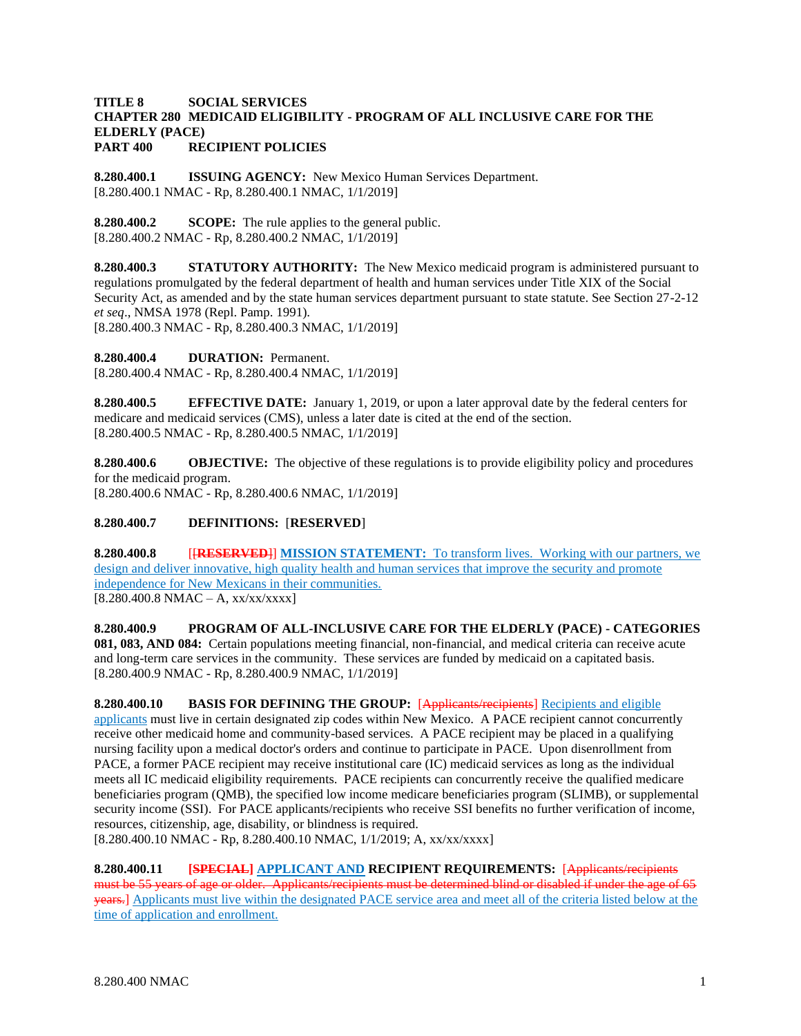## **TITLE 8 SOCIAL SERVICES CHAPTER 280 MEDICAID ELIGIBILITY - PROGRAM OF ALL INCLUSIVE CARE FOR THE ELDERLY (PACE) PART 400 RECIPIENT POLICIES**

**8.280.400.1 ISSUING AGENCY:** New Mexico Human Services Department. [8.280.400.1 NMAC - Rp, 8.280.400.1 NMAC, 1/1/2019]

**8.280.400.2 SCOPE:** The rule applies to the general public. [8.280.400.2 NMAC - Rp, 8.280.400.2 NMAC, 1/1/2019]

**8.280.400.3 STATUTORY AUTHORITY:** The New Mexico medicaid program is administered pursuant to regulations promulgated by the federal department of health and human services under Title XIX of the Social Security Act, as amended and by the state human services department pursuant to state statute. See Section 27-2-12 *et seq*., NMSA 1978 (Repl. Pamp. 1991). [8.280.400.3 NMAC - Rp, 8.280.400.3 NMAC, 1/1/2019]

**8.280.400.4 DURATION:** Permanent.

[8.280.400.4 NMAC - Rp, 8.280.400.4 NMAC, 1/1/2019]

**8.280.400.5 EFFECTIVE DATE:** January 1, 2019, or upon a later approval date by the federal centers for medicare and medicaid services (CMS), unless a later date is cited at the end of the section. [8.280.400.5 NMAC - Rp, 8.280.400.5 NMAC, 1/1/2019]

**8.280.400.6 OBJECTIVE:** The objective of these regulations is to provide eligibility policy and procedures for the medicaid program. [8.280.400.6 NMAC - Rp, 8.280.400.6 NMAC, 1/1/2019]

## **8.280.400.7 DEFINITIONS:** [**RESERVED**]

**8.280.400.8** [[**RESERVED**]] **MISSION STATEMENT:** To transform lives. Working with our partners, we design and deliver innovative, high quality health and human services that improve the security and promote independence for New Mexicans in their communities.  $[8.280.400.8 \text{ NMAC} - \text{A, xx/xxx/xxx}]$ 

**8.280.400.9 PROGRAM OF ALL-INCLUSIVE CARE FOR THE ELDERLY (PACE) - CATEGORIES 081, 083, AND 084:** Certain populations meeting financial, non-financial, and medical criteria can receive acute and long-term care services in the community. These services are funded by medicaid on a capitated basis. [8.280.400.9 NMAC - Rp, 8.280.400.9 NMAC, 1/1/2019]

**8.280.400.10 BASIS FOR DEFINING THE GROUP:** [Applicants/recipients] Recipients and eligible

applicants must live in certain designated zip codes within New Mexico. A PACE recipient cannot concurrently receive other medicaid home and community-based services. A PACE recipient may be placed in a qualifying nursing facility upon a medical doctor's orders and continue to participate in PACE. Upon disenrollment from PACE, a former PACE recipient may receive institutional care (IC) medicaid services as long as the individual meets all IC medicaid eligibility requirements. PACE recipients can concurrently receive the qualified medicare beneficiaries program (QMB), the specified low income medicare beneficiaries program (SLIMB), or supplemental security income (SSI). For PACE applicants/recipients who receive SSI benefits no further verification of income, resources, citizenship, age, disability, or blindness is required.

[8.280.400.10 NMAC - Rp, 8.280.400.10 NMAC, 1/1/2019; A, xx/xx/xxxx]

**8.280.400.11 [SPECIAL] APPLICANT AND RECIPIENT REQUIREMENTS:** [Applicants/recipients must be 55 years of age or older. Applicants/recipients must be determined blind or disabled if under the age of 65 years.] Applicants must live within the designated PACE service area and meet all of the criteria listed below at the time of application and enrollment.